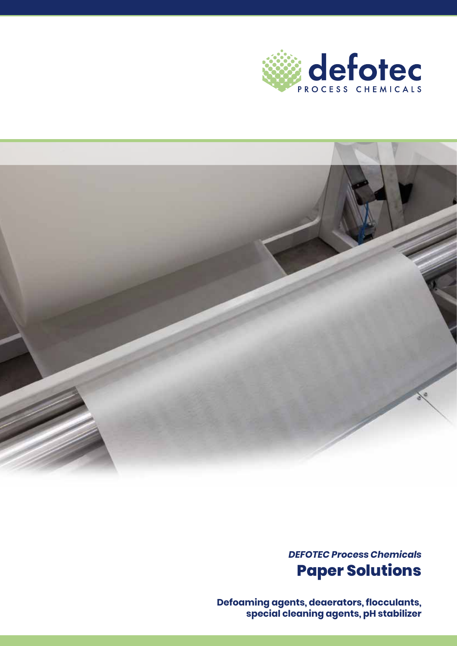



*DEFOTEC Process Chemicals* **Paper Solutions**

**Defoaming agents, deaerators, flocculants, special cleaning agents, pH stabilizer**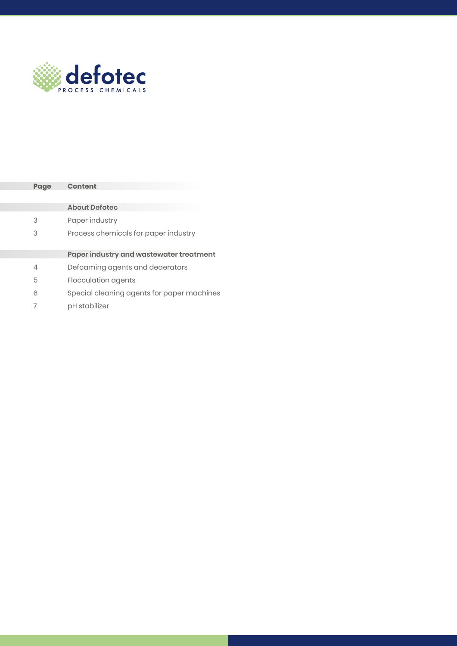

| Page | Content                                    |  |
|------|--------------------------------------------|--|
|      |                                            |  |
|      | <b>About Defotec</b>                       |  |
| 3    | Paper industry                             |  |
| 3    | Process chemicals for paper industry       |  |
|      |                                            |  |
|      | Paper industry and wastewater treatment    |  |
| 4    | Defoaming agents and deaerators            |  |
| 5    | Flocculation agents                        |  |
| 6    | Special cleaning agents for paper machines |  |
|      | pH stabilizer                              |  |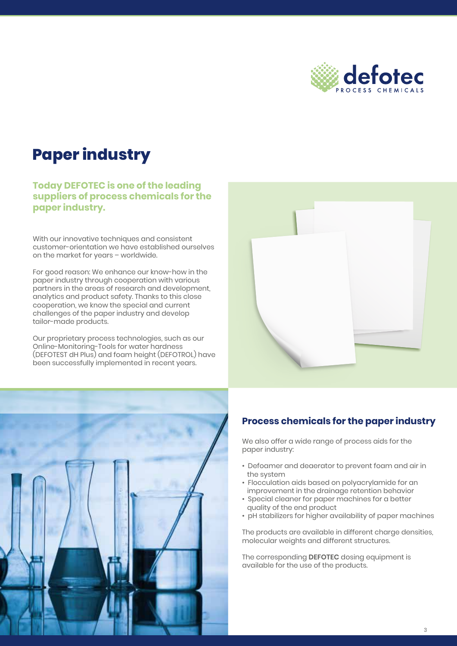

### **Paper industry**

**Today DEFOTEC is one of the leading suppliers of process chemicals for the paper industry.**

With our innovative techniques and consistent customer-orientation we have established ourselves on the market for years – worldwide.

For good reason: We enhance our know-how in the paper industry through cooperation with various partners in the areas of research and development, analytics and product safety. Thanks to this close cooperation, we know the special and current challenges of the paper industry and develop tailor-made products.

Our proprietary process technologies, such as our Online-Monitoring-Tools for water hardness (DEFOTEST dH Plus) and foam height (DEFOTROL) have been successfully implemented in recent years.





#### **Process chemicals for the paper industry**

We also offer a wide range of process aids for the paper industry:

- Defoamer and deaerator to prevent foam and air in the system
- Flocculation aids based on polyacrylamide for an improvement in the drainage retention behavior
- Special cleaner for paper machines for a better quality of the end product
- pH stabilizers for higher availability of paper machines

The products are available in different charge densities, molecular weights and different structures.

The corresponding **DEFOTEC** dosing equipment is available for the use of the products.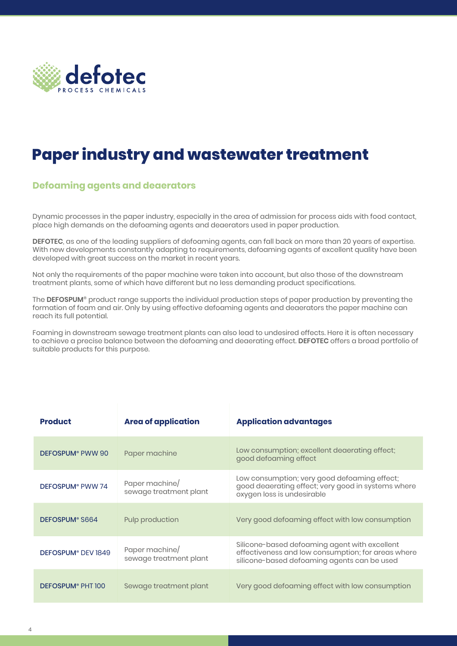

## **Paper industry and wastewater treatment**

#### **Defoaming agents and deaerators**

Dynamic processes in the paper industry, especially in the area of admission for process aids with food contact, place high demands on the defoaming agents and deaerators used in paper production.

**DEFOTEC**, as one of the leading suppliers of defoaming agents, can fall back on more than 20 years of expertise. With new developments constantly adapting to requirements, defoaming agents of excellent quality have been developed with great success on the market in recent years.

Not only the requirements of the paper machine were taken into account, but also those of the downstream treatment plants, some of which have different but no less demanding product specifications.

The **DEFOSPUM®** product range supports the individual production steps of paper production by preventing the formation of foam and air. Only by using effective defoaming agents and deaerators the paper machine can reach its full potential.

Foaming in downstream sewage treatment plants can also lead to undesired effects. Here it is often necessary to achieve a precise balance between the defoaming and deaerating effect. **DEFOTEC** offers a broad portfolio of suitable products for this purpose.

| <b>Product</b>                      | <b>Area of application</b>               | <b>Application advantages</b>                                                                                                                      |
|-------------------------------------|------------------------------------------|----------------------------------------------------------------------------------------------------------------------------------------------------|
| DEFOSPUM <sup>®</sup> PWW 90        | Paper machine                            | Low consumption; excellent deaerating effect;<br>good defoaming effect                                                                             |
| DEFOSPUM <sup>®</sup> PWW 74        | Paper machine/<br>sewage treatment plant | Low consumption; very good defoaming effect;<br>good deaerating effect; very good in systems where<br>oxygen loss is undesirable                   |
| DEFOSPUM <sup>®</sup> S664          | Pulp production                          | Very good defoaming effect with low consumption                                                                                                    |
| DEFOSPUM® DEV 1849                  | Paper machine/<br>sewage treatment plant | Silicone-based defoaming agent with excellent<br>effectiveness and low consumption; for areas where<br>silicone-based defoaming agents can be used |
| <b>DEFOSPUM<sup>®</sup> PHT 100</b> | Sewage treatment plant                   | Very good defoaming effect with low consumption                                                                                                    |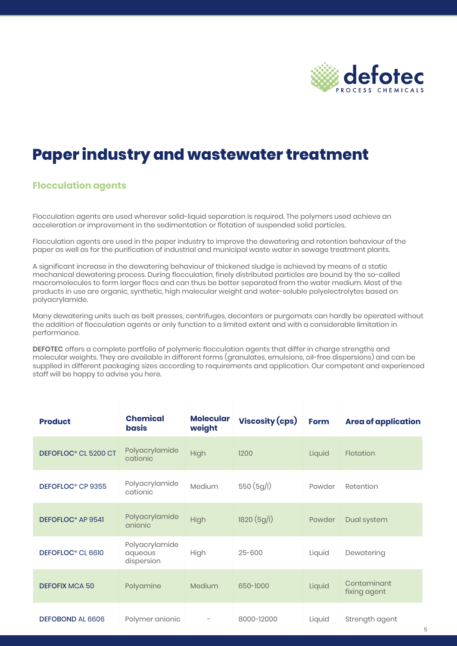

### **Paper industry and wastewater treatment**

#### **Flocculation agents**

Flocculation agents are used wherever solid-liquid separation is required. The polymers used achieve an acceleration or improvement in the sedimentation or flotation of suspended solid particles.

Flocculation agents are used in the paper industry to improve the dewatering and retention behaviour of the paper as well as for the purification of industrial and municipal waste water in sewage treatment plants.

A significant increase in the dewatering behaviour of thickened sludge is achieved by means of a static mechanical dewatering process. During flocculation, finely distributed particles are bound by the so-called macromolecules to form larger flocs and can thus be better separated from the water medium. Most of the products in use are organic, synthetic, high molecular weight and water-soluble polyelectrolytes based on polyacrylamide.

Many dewatering units such as belt presses, centrifuges, decanters or purgomats can hardly be operated without the addition of flocculation agents or only function to a limited extent and with a considerable limitation in performance.

**DEFOTEC** offers a complete portfolio of polymeric flocculation agents that differ in charge strengths and molecular weights. They are available in different forms (granulates, emulsions, oil-free dispersions) and can be supplied in different packaging sizes according to requirements and application. Our competent and experienced staff will be happy to advise you here.

| <b>Product</b>                   | <b>Chemical</b><br>basis                | <b>Molecular</b><br>weight | Viscosity (cps) | <b>Form</b> | <b>Area of application</b>  |
|----------------------------------|-----------------------------------------|----------------------------|-----------------|-------------|-----------------------------|
| DEFOFLOC <sup>®</sup> CL 5200 CT | Polyacrylamide<br>cationic              | High                       | 1200            | Liquid      | Flotation                   |
| DEFOFLOC <sup>®</sup> CP 9355    | Polyacrylamide<br>cationic              | Medium                     | 550(5g/l)       | Powder      | Retention                   |
| DEFOFLOC <sup>®</sup> AP 9541    | Polyacrylamide<br>anionic               | High                       | 1820(5g/l)      | Powder      | Dual system                 |
| DEFOFLOC <sup>®</sup> CL 6610    | Polyacrylamide<br>aqueous<br>dispersion | High                       | $25 - 600$      | Liquid      | Dewatering                  |
| <b>DEFOFIX MCA 50</b>            | Polyamine                               | Medium                     | 650-1000        | Liquid      | Contaminant<br>fixing agent |
| <b>DEFOBOND AL 6606</b>          | Polymer anionic                         |                            | 8000-12000      | Liquid      | Strength agent              |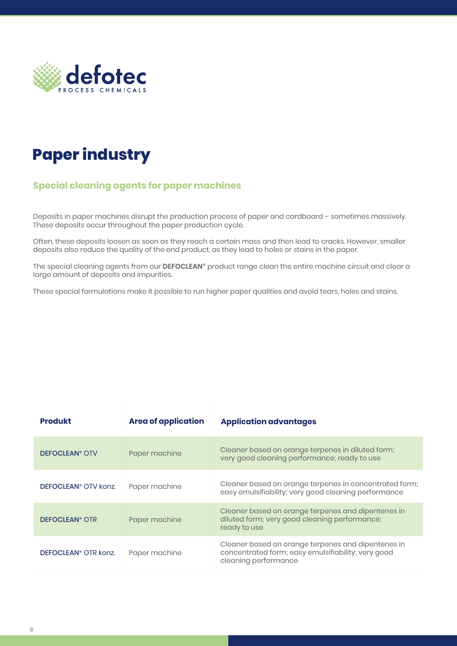

# **Paper industry**

### **Special cleaning agents for paper machines**

Deposits in paper machines disrupt the production process of paper and cardboard – sometimes massively. These deposits occur throughout the paper production cycle.

Often, these deposits loosen as soon as they reach a certain mass and then lead to cracks. However, smaller deposits also reduce the quality of the end product, as they lead to holes or stains in the paper.

The special cleaning agents from our **DEFOCLEAN®** product range clean the entire machine circuit and clear a large amount of deposits and impurities.

These special formulations make it possible to run higher paper qualities and avoid tears, holes and stains.

| <b>Produkt</b>                   | <b>Area of application</b> | <b>Application advantages</b>                                                                                                    |
|----------------------------------|----------------------------|----------------------------------------------------------------------------------------------------------------------------------|
| <b>DEFOCLEAN<sup>®</sup> OTV</b> | Paper machine              | Cleaner based on orange terpenes in diluted form;<br>very good cleaning performance; ready to use                                |
| DEFOCLEAN <sup>®</sup> OTV konz. | Paper machine              | Cleaner based on orange terpenes in concentrated form;<br>easy emulsifiability; very good cleaning performance                   |
| <b>DEFOCLEAN<sup>®</sup> OTR</b> | Paper machine              | Cleaner based on orange terpenes and dipentenes in<br>diluted form; very good cleaning performance;<br>ready to use              |
| DEFOCLEAN <sup>®</sup> OTR konz. | Paper machine              | Cleaner based on orange terpenes and dipentenes in<br>concentrated form; easy emulsifiability; very good<br>cleaning performance |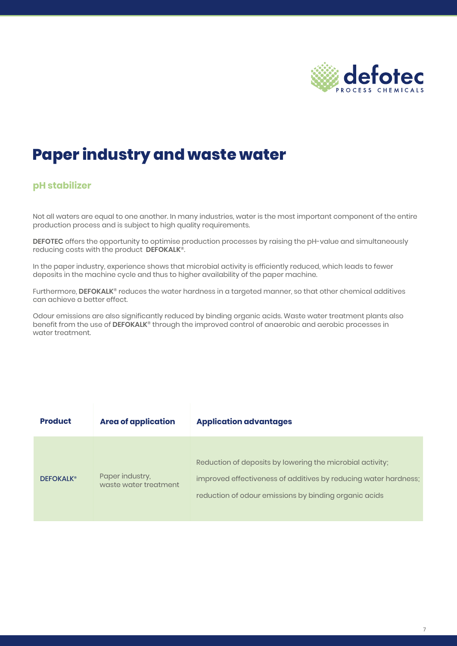

### **Paper industry and waste water**

#### **pH stabilizer**

Not all waters are equal to one another. In many industries, water is the most important component of the entire production process and is subject to high quality requirements.

**DEFOTEC** offers the opportunity to optimise production processes by raising the pH-value and simultaneously reducing costs with the product **DEFOKALK®**.

In the paper industry, experience shows that microbial activity is efficiently reduced, which leads to fewer deposits in the machine cycle and thus to higher availability of the paper machine.

Furthermore, **DEFOKALK®** reduces the water hardness in a targeted manner, so that other chemical additives can achieve a better effect.

Odour emissions are also significantly reduced by binding organic acids. Waste water treatment plants also benefit from the use of DEFOKALK<sup>®</sup> through the improved control of anaerobic and aerobic processes in water treatment.

| <b>Product</b>   | <b>Area of application</b>               | <b>Application advantages</b>                                                                                                                                                         |
|------------------|------------------------------------------|---------------------------------------------------------------------------------------------------------------------------------------------------------------------------------------|
| <b>DEFOKALK®</b> | Paper industry,<br>waste water treatment | Reduction of deposits by lowering the microbial activity;<br>improved effectiveness of additives by reducing water hardness;<br>reduction of odour emissions by binding organic acids |